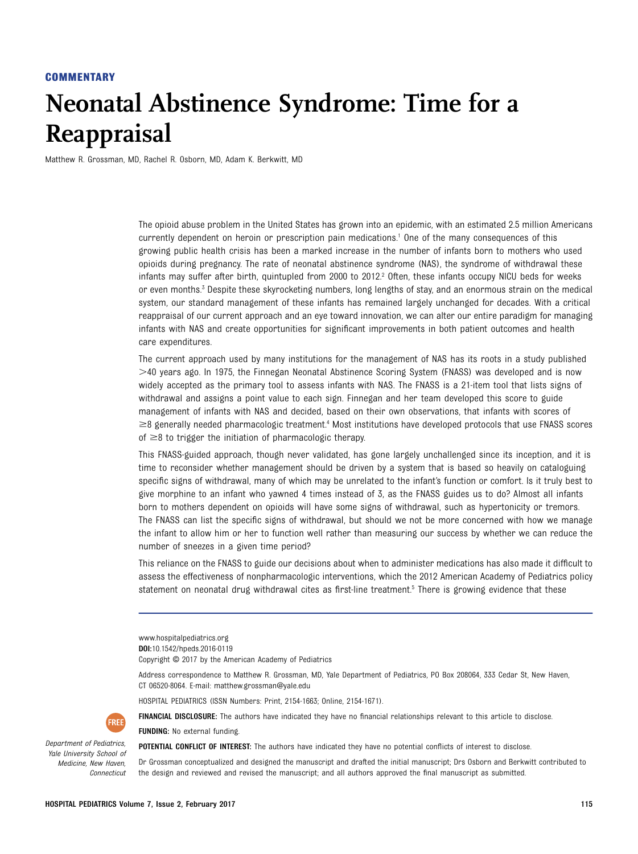## **COMMENTARY**

## Neonatal Abstinence Syndrome: Time for a Reappraisal

Matthew R. Grossman, MD, Rachel R. Osborn, MD, Adam K. Berkwitt, MD

The opioid abuse problem in the United States has grown into an epidemic, with an estimated 2.5 million Americans currently dependent on heroin or prescription pain medications.1 One of the many consequences of this growing public health crisis has been a marked increase in the number of infants born to mothers who used opioids during pregnancy. The rate of neonatal abstinence syndrome (NAS), the syndrome of withdrawal these infants may suffer after birth, quintupled from 2000 to 2012.<sup>2</sup> Often, these infants occupy NICU beds for weeks or even months.<sup>3</sup> Despite these skyrocketing numbers, long lengths of stay, and an enormous strain on the medical system, our standard management of these infants has remained largely unchanged for decades. With a critical reappraisal of our current approach and an eye toward innovation, we can alter our entire paradigm for managing infants with NAS and create opportunities for significant improvements in both patient outcomes and health care expenditures.

The current approach used by many institutions for the management of NAS has its roots in a study published  $>$ 40 years ago. In 1975, the Finnegan Neonatal Abstinence Scoring System (FNASS) was developed and is now widely accepted as the primary tool to assess infants with NAS. The FNASS is a 21-item tool that lists signs of withdrawal and assigns a point value to each sign. Finnegan and her team developed this score to guide management of infants with NAS and decided, based on their own observations, that infants with scores of  $\geq$ 8 generally needed pharmacologic treatment.<sup>4</sup> Most institutions have developed protocols that use FNASS scores of  $\geq$ 8 to trigger the initiation of pharmacologic therapy.

This FNASS-guided approach, though never validated, has gone largely unchallenged since its inception, and it is time to reconsider whether management should be driven by a system that is based so heavily on cataloguing specific signs of withdrawal, many of which may be unrelated to the infant's function or comfort. Is it truly best to give morphine to an infant who yawned 4 times instead of 3, as the FNASS guides us to do? Almost all infants born to mothers dependent on opioids will have some signs of withdrawal, such as hypertonicity or tremors. The FNASS can list the specific signs of withdrawal, but should we not be more concerned with how we manage the infant to allow him or her to function well rather than measuring our success by whether we can reduce the number of sneezes in a given time period?

This reliance on the FNASS to guide our decisions about when to administer medications has also made it difficult to assess the effectiveness of nonpharmacologic interventions, which the 2012 American Academy of Pediatrics policy statement on neonatal drug withdrawal cites as first-line treatment.<sup>5</sup> There is growing evidence that these

<www.hospitalpediatrics.org> DOI:[10.1542/hpeds.2016-0119](http://dx.doi.org/10.1542/hpeds.2016-0119) Copyright © 2017 by the American Academy of Pediatrics

Address correspondence to Matthew R. Grossman, MD, Yale Department of Pediatrics, PO Box 208064, 333 Cedar St, New Haven, CT 06520-8064. E-mail: [matthew.grossman@yale.edu](mailto:matthew.grossman@yale.edu)

HOSPITAL PEDIATRICS (ISSN Numbers: Print, 2154-1663; Online, 2154-1671).

FINANCIAL DISCLOSURE: The authors have indicated they have no financial relationships relevant to this article to disclose.

FUNDING: No external funding.

POTENTIAL CONFLICT OF INTEREST: The authors have indicated they have no potential conflicts of interest to disclose.

Dr Grossman conceptualized and designed the manuscript and drafted the initial manuscript; Drs Osborn and Berkwitt contributed to the design and reviewed and revised the manuscript; and all authors approved the final manuscript as submitted.



Department of Pediatrics, Yale University School of Medicine, New Haven, Connecticut